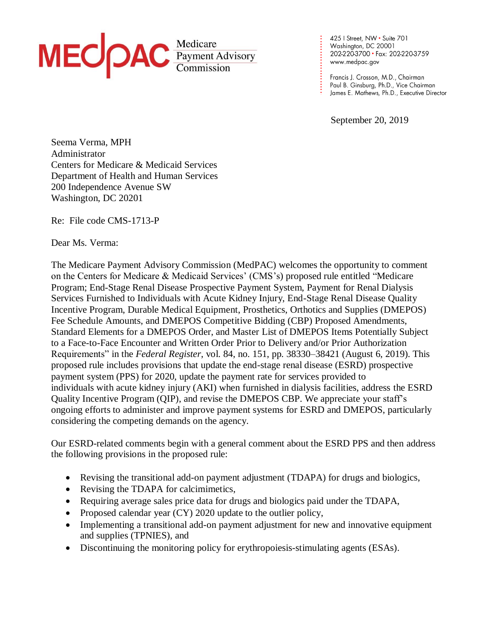

425 | Street, NW • Suite 701<br>Washington, DC 20001 202-220-3700 · Fax: 202-220-3759 www.medpac.gov

**. . . . . . . . . . . . . . . . . . . . . . . .**

Francis J. Crosson, M.D., Chairman Paul B. Ginsburg, Ph.D., Vice Chairman James E. Mathews, Ph.D., Executive Director

September 20, 2019

Seema Verma, MPH Administrator Centers for Medicare & Medicaid Services Department of Health and Human Services 200 Independence Avenue SW Washington, DC 20201

Re: File code CMS-1713-P

Dear Ms. Verma:

The Medicare Payment Advisory Commission (MedPAC) welcomes the opportunity to comment on the Centers for Medicare & Medicaid Services' (CMS's) proposed rule entitled "Medicare Program; End-Stage Renal Disease Prospective Payment System, Payment for Renal Dialysis Services Furnished to Individuals with Acute Kidney Injury, End-Stage Renal Disease Quality Incentive Program, Durable Medical Equipment, Prosthetics, Orthotics and Supplies (DMEPOS) Fee Schedule Amounts, and DMEPOS Competitive Bidding (CBP) Proposed Amendments, Standard Elements for a DMEPOS Order, and Master List of DMEPOS Items Potentially Subject to a Face-to-Face Encounter and Written Order Prior to Delivery and/or Prior Authorization Requirements" in the *Federal Register*, vol. 84, no. 151, pp. 38330–38421 (August 6, 2019). This proposed rule includes provisions that update the end-stage renal disease (ESRD) prospective payment system (PPS) for 2020, update the payment rate for services provided to individuals with acute kidney injury (AKI) when furnished in dialysis facilities, address the ESRD Quality Incentive Program (QIP), and revise the DMEPOS CBP. We appreciate your staff's ongoing efforts to administer and improve payment systems for ESRD and DMEPOS, particularly considering the competing demands on the agency.

Our ESRD-related comments begin with a general comment about the ESRD PPS and then address the following provisions in the proposed rule:

- Revising the transitional add-on payment adjustment (TDAPA) for drugs and biologics,
- Revising the TDAPA for calcimimetics,
- Requiring average sales price data for drugs and biologics paid under the TDAPA,
- Proposed calendar year (CY) 2020 update to the outlier policy,
- Implementing a transitional add-on payment adjustment for new and innovative equipment and supplies (TPNIES), and
- Discontinuing the monitoring policy for erythropoiesis-stimulating agents (ESAs).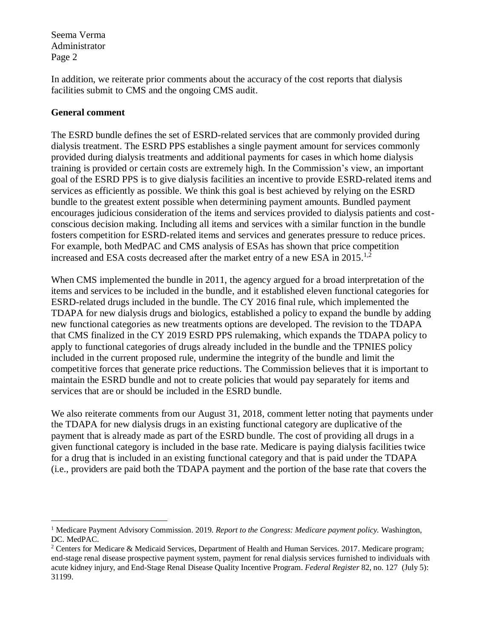In addition, we reiterate prior comments about the accuracy of the cost reports that dialysis facilities submit to CMS and the ongoing CMS audit.

### **General comment**

 $\overline{a}$ 

The ESRD bundle defines the set of ESRD-related services that are commonly provided during dialysis treatment. The ESRD PPS establishes a single payment amount for services commonly provided during dialysis treatments and additional payments for cases in which home dialysis training is provided or certain costs are extremely high. In the Commission's view, an important goal of the ESRD PPS is to give dialysis facilities an incentive to provide ESRD-related items and services as efficiently as possible. We think this goal is best achieved by relying on the ESRD bundle to the greatest extent possible when determining payment amounts. Bundled payment encourages judicious consideration of the items and services provided to dialysis patients and costconscious decision making. Including all items and services with a similar function in the bundle fosters competition for ESRD-related items and services and generates pressure to reduce prices. For example, both MedPAC and CMS analysis of ESAs has shown that price competition increased and ESA costs decreased after the market entry of a new ESA in  $2015$ .<sup>1,2</sup>

When CMS implemented the bundle in 2011, the agency argued for a broad interpretation of the items and services to be included in the bundle, and it established eleven functional categories for ESRD-related drugs included in the bundle. The CY 2016 final rule, which implemented the TDAPA for new dialysis drugs and biologics, established a policy to expand the bundle by adding new functional categories as new treatments options are developed. The revision to the TDAPA that CMS finalized in the CY 2019 ESRD PPS rulemaking, which expands the TDAPA policy to apply to functional categories of drugs already included in the bundle and the TPNIES policy included in the current proposed rule, undermine the integrity of the bundle and limit the competitive forces that generate price reductions. The Commission believes that it is important to maintain the ESRD bundle and not to create policies that would pay separately for items and services that are or should be included in the ESRD bundle.

We also reiterate comments from our August 31, 2018, comment letter noting that payments under the TDAPA for new dialysis drugs in an existing functional category are duplicative of the payment that is already made as part of the ESRD bundle. The cost of providing all drugs in a given functional category is included in the base rate. Medicare is paying dialysis facilities twice for a drug that is included in an existing functional category and that is paid under the TDAPA (i.e., providers are paid both the TDAPA payment and the portion of the base rate that covers the

<sup>1</sup> Medicare Payment Advisory Commission. 2019. *Report to the Congress: Medicare payment policy.* Washington, DC. MedPAC.

<sup>&</sup>lt;sup>2</sup> Centers for Medicare & Medicaid Services, Department of Health and Human Services. 2017. Medicare program; end-stage renal disease prospective payment system, payment for renal dialysis services furnished to individuals with acute kidney injury, and End-Stage Renal Disease Quality Incentive Program. *Federal Register* 82, no. 127 (July 5): 31199.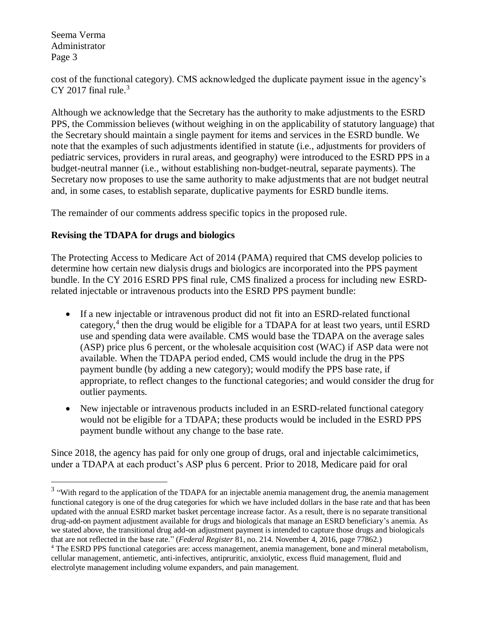$\overline{a}$ 

cost of the functional category). CMS acknowledged the duplicate payment issue in the agency's CY 2017 final rule. $3$ 

Although we acknowledge that the Secretary has the authority to make adjustments to the ESRD PPS, the Commission believes (without weighing in on the applicability of statutory language) that the Secretary should maintain a single payment for items and services in the ESRD bundle. We note that the examples of such adjustments identified in statute (i.e., adjustments for providers of pediatric services, providers in rural areas, and geography) were introduced to the ESRD PPS in a budget-neutral manner (i.e., without establishing non-budget-neutral, separate payments). The Secretary now proposes to use the same authority to make adjustments that are not budget neutral and, in some cases, to establish separate, duplicative payments for ESRD bundle items.

The remainder of our comments address specific topics in the proposed rule.

## **Revising the TDAPA for drugs and biologics**

The Protecting Access to Medicare Act of 2014 (PAMA) required that CMS develop policies to determine how certain new dialysis drugs and biologics are incorporated into the PPS payment bundle. In the CY 2016 ESRD PPS final rule, CMS finalized a process for including new ESRDrelated injectable or intravenous products into the ESRD PPS payment bundle:

- If a new injectable or intravenous product did not fit into an ESRD-related functional category,<sup>4</sup> then the drug would be eligible for a TDAPA for at least two years, until ESRD use and spending data were available. CMS would base the TDAPA on the average sales (ASP) price plus 6 percent, or the wholesale acquisition cost (WAC) if ASP data were not available. When the TDAPA period ended, CMS would include the drug in the PPS payment bundle (by adding a new category); would modify the PPS base rate, if appropriate, to reflect changes to the functional categories; and would consider the drug for outlier payments.
- New injectable or intravenous products included in an ESRD-related functional category would not be eligible for a TDAPA; these products would be included in the ESRD PPS payment bundle without any change to the base rate.

Since 2018, the agency has paid for only one group of drugs, oral and injectable calcimimetics, under a TDAPA at each product's ASP plus 6 percent. Prior to 2018, Medicare paid for oral

 $3$  "With regard to the application of the TDAPA for an injectable anemia management drug, the anemia management functional category is one of the drug categories for which we have included dollars in the base rate and that has been updated with the annual ESRD market basket percentage increase factor. As a result, there is no separate transitional drug-add-on payment adjustment available for drugs and biologicals that manage an ESRD beneficiary's anemia. As we stated above, the transitional drug add-on adjustment payment is intended to capture those drugs and biologicals that are not reflected in the base rate." (*Federal Register* 81, no. 214. November 4, 2016, page 77862.)

<sup>4</sup> The ESRD PPS functional categories are: access management, anemia management, bone and mineral metabolism, cellular management, antiemetic, anti-infectives, antipruritic, anxiolytic, excess fluid management, fluid and electrolyte management including volume expanders, and pain management.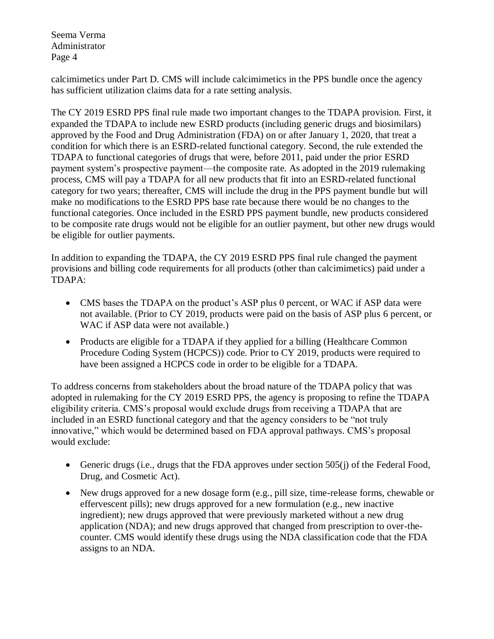calcimimetics under Part D. CMS will include calcimimetics in the PPS bundle once the agency has sufficient utilization claims data for a rate setting analysis.

The CY 2019 ESRD PPS final rule made two important changes to the TDAPA provision. First, it expanded the TDAPA to include new ESRD products (including generic drugs and biosimilars) approved by the Food and Drug Administration (FDA) on or after January 1, 2020, that treat a condition for which there is an ESRD-related functional category. Second, the rule extended the TDAPA to functional categories of drugs that were, before 2011, paid under the prior ESRD payment system's prospective payment—the composite rate. As adopted in the 2019 rulemaking process, CMS will pay a TDAPA for all new products that fit into an ESRD-related functional category for two years; thereafter, CMS will include the drug in the PPS payment bundle but will make no modifications to the ESRD PPS base rate because there would be no changes to the functional categories. Once included in the ESRD PPS payment bundle, new products considered to be composite rate drugs would not be eligible for an outlier payment, but other new drugs would be eligible for outlier payments.

In addition to expanding the TDAPA, the CY 2019 ESRD PPS final rule changed the payment provisions and billing code requirements for all products (other than calcimimetics) paid under a TDAPA:

- CMS bases the TDAPA on the product's ASP plus 0 percent, or WAC if ASP data were not available. (Prior to CY 2019, products were paid on the basis of ASP plus 6 percent, or WAC if ASP data were not available.)
- Products are eligible for a TDAPA if they applied for a billing (Healthcare Common Procedure Coding System (HCPCS)) code. Prior to CY 2019, products were required to have been assigned a HCPCS code in order to be eligible for a TDAPA.

To address concerns from stakeholders about the broad nature of the TDAPA policy that was adopted in rulemaking for the CY 2019 ESRD PPS, the agency is proposing to refine the TDAPA eligibility criteria. CMS's proposal would exclude drugs from receiving a TDAPA that are included in an ESRD functional category and that the agency considers to be "not truly innovative," which would be determined based on FDA approval pathways. CMS's proposal would exclude:

- Generic drugs (i.e., drugs that the FDA approves under section 505(j) of the Federal Food, Drug, and Cosmetic Act).
- New drugs approved for a new dosage form (e.g., pill size, time-release forms, chewable or effervescent pills); new drugs approved for a new formulation (e.g., new inactive ingredient); new drugs approved that were previously marketed without a new drug application (NDA); and new drugs approved that changed from prescription to over-thecounter. CMS would identify these drugs using the NDA classification code that the FDA assigns to an NDA.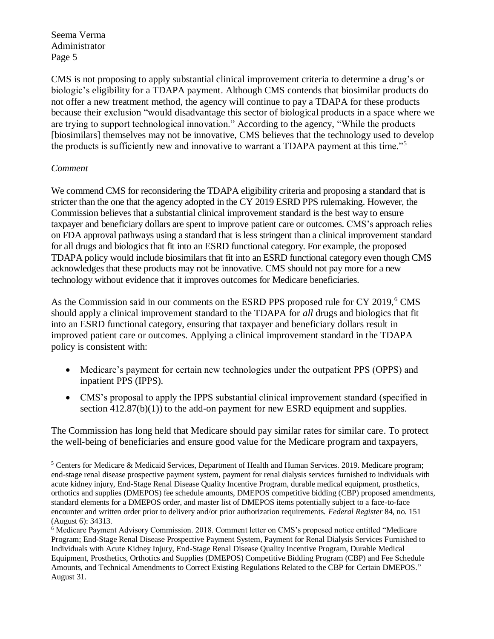CMS is not proposing to apply substantial clinical improvement criteria to determine a drug's or biologic's eligibility for a TDAPA payment. Although CMS contends that biosimilar products do not offer a new treatment method, the agency will continue to pay a TDAPA for these products because their exclusion "would disadvantage this sector of biological products in a space where we are trying to support technological innovation." According to the agency, "While the products [biosimilars] themselves may not be innovative, CMS believes that the technology used to develop the products is sufficiently new and innovative to warrant a TDAPA payment at this time."<sup>5</sup>

## *Comment*

 $\overline{a}$ 

We commend CMS for reconsidering the TDAPA eligibility criteria and proposing a standard that is stricter than the one that the agency adopted in the CY 2019 ESRD PPS rulemaking. However, the Commission believes that a substantial clinical improvement standard is the best way to ensure taxpayer and beneficiary dollars are spent to improve patient care or outcomes. CMS's approach relies on FDA approval pathways using a standard that is less stringent than a clinical improvement standard for all drugs and biologics that fit into an ESRD functional category. For example, the proposed TDAPA policy would include biosimilars that fit into an ESRD functional category even though CMS acknowledges that these products may not be innovative. CMS should not pay more for a new technology without evidence that it improves outcomes for Medicare beneficiaries.

As the Commission said in our comments on the ESRD PPS proposed rule for CY 2019,<sup>6</sup> CMS should apply a clinical improvement standard to the TDAPA for *all* drugs and biologics that fit into an ESRD functional category, ensuring that taxpayer and beneficiary dollars result in improved patient care or outcomes. Applying a clinical improvement standard in the TDAPA policy is consistent with:

- Medicare's payment for certain new technologies under the outpatient PPS (OPPS) and inpatient PPS (IPPS).
- CMS's proposal to apply the IPPS substantial clinical improvement standard (specified in section  $412.87(b)(1)$  to the add-on payment for new ESRD equipment and supplies.

The Commission has long held that Medicare should pay similar rates for similar care. To protect the well-being of beneficiaries and ensure good value for the Medicare program and taxpayers,

<sup>5</sup> Centers for Medicare & Medicaid Services, Department of Health and Human Services. 2019. Medicare program; end-stage renal disease prospective payment system, payment for renal dialysis services furnished to individuals with acute kidney injury, End-Stage Renal Disease Quality Incentive Program, durable medical equipment, prosthetics, orthotics and supplies (DMEPOS) fee schedule amounts, DMEPOS competitive bidding (CBP) proposed amendments, standard elements for a DMEPOS order, and master list of DMEPOS items potentially subject to a face-to-face encounter and written order prior to delivery and/or prior authorization requirements. *Federal Register* 84, no. 151 (August 6): 34313.

<sup>6</sup> Medicare Payment Advisory Commission. 2018. Comment letter on CMS's proposed notice entitled "Medicare Program; End-Stage Renal Disease Prospective Payment System, Payment for Renal Dialysis Services Furnished to Individuals with Acute Kidney Injury, End-Stage Renal Disease Quality Incentive Program, Durable Medical Equipment, Prosthetics, Orthotics and Supplies (DMEPOS) Competitive Bidding Program (CBP) and Fee Schedule Amounts, and Technical Amendments to Correct Existing Regulations Related to the CBP for Certain DMEPOS." August 31.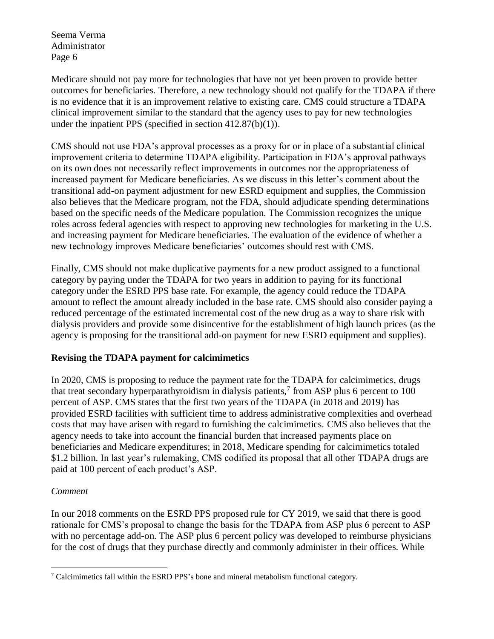Medicare should not pay more for technologies that have not yet been proven to provide better outcomes for beneficiaries. Therefore, a new technology should not qualify for the TDAPA if there is no evidence that it is an improvement relative to existing care. CMS could structure a TDAPA clinical improvement similar to the standard that the agency uses to pay for new technologies under the inpatient PPS (specified in section 412.87(b)(1)).

CMS should not use FDA's approval processes as a proxy for or in place of a substantial clinical improvement criteria to determine TDAPA eligibility. Participation in FDA's approval pathways on its own does not necessarily reflect improvements in outcomes nor the appropriateness of increased payment for Medicare beneficiaries. As we discuss in this letter's comment about the transitional add-on payment adjustment for new ESRD equipment and supplies, the Commission also believes that the Medicare program, not the FDA, should adjudicate spending determinations based on the specific needs of the Medicare population. The Commission recognizes the unique roles across federal agencies with respect to approving new technologies for marketing in the U.S. and increasing payment for Medicare beneficiaries. The evaluation of the evidence of whether a new technology improves Medicare beneficiaries' outcomes should rest with CMS.

Finally, CMS should not make duplicative payments for a new product assigned to a functional category by paying under the TDAPA for two years in addition to paying for its functional category under the ESRD PPS base rate. For example, the agency could reduce the TDAPA amount to reflect the amount already included in the base rate. CMS should also consider paying a reduced percentage of the estimated incremental cost of the new drug as a way to share risk with dialysis providers and provide some disincentive for the establishment of high launch prices (as the agency is proposing for the transitional add-on payment for new ESRD equipment and supplies).

## **Revising the TDAPA payment for calcimimetics**

In 2020, CMS is proposing to reduce the payment rate for the TDAPA for calcimimetics, drugs that treat secondary hyperparathyroidism in dialysis patients,<sup>7</sup> from ASP plus 6 percent to 100 percent of ASP. CMS states that the first two years of the TDAPA (in 2018 and 2019) has provided ESRD facilities with sufficient time to address administrative complexities and overhead costs that may have arisen with regard to furnishing the calcimimetics. CMS also believes that the agency needs to take into account the financial burden that increased payments place on beneficiaries and Medicare expenditures; in 2018, Medicare spending for calcimimetics totaled \$1.2 billion. In last year's rulemaking, CMS codified its proposal that all other TDAPA drugs are paid at 100 percent of each product's ASP.

# *Comment*

In our 2018 comments on the ESRD PPS proposed rule for CY 2019, we said that there is good rationale for CMS's proposal to change the basis for the TDAPA from ASP plus 6 percent to ASP with no percentage add-on. The ASP plus 6 percent policy was developed to reimburse physicians for the cost of drugs that they purchase directly and commonly administer in their offices. While

 $\overline{a}$  $\frac{7}{7}$  Calcimimetics fall within the ESRD PPS's bone and mineral metabolism functional category.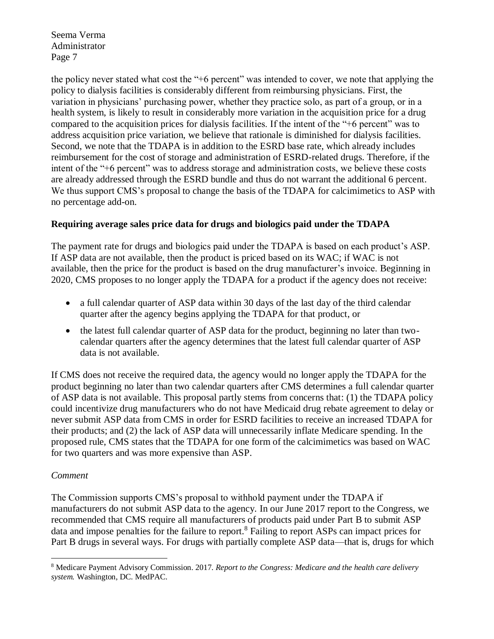the policy never stated what cost the "+6 percent" was intended to cover, we note that applying the policy to dialysis facilities is considerably different from reimbursing physicians. First, the variation in physicians' purchasing power, whether they practice solo, as part of a group, or in a health system, is likely to result in considerably more variation in the acquisition price for a drug compared to the acquisition prices for dialysis facilities. If the intent of the "+6 percent" was to address acquisition price variation, we believe that rationale is diminished for dialysis facilities. Second, we note that the TDAPA is in addition to the ESRD base rate, which already includes reimbursement for the cost of storage and administration of ESRD-related drugs. Therefore, if the intent of the "+6 percent" was to address storage and administration costs, we believe these costs are already addressed through the ESRD bundle and thus do not warrant the additional 6 percent. We thus support CMS's proposal to change the basis of the TDAPA for calcimimetics to ASP with no percentage add-on.

## **Requiring average sales price data for drugs and biologics paid under the TDAPA**

The payment rate for drugs and biologics paid under the TDAPA is based on each product's ASP. If ASP data are not available, then the product is priced based on its WAC; if WAC is not available, then the price for the product is based on the drug manufacturer's invoice. Beginning in 2020, CMS proposes to no longer apply the TDAPA for a product if the agency does not receive:

- a full calendar quarter of ASP data within 30 days of the last day of the third calendar quarter after the agency begins applying the TDAPA for that product, or
- the latest full calendar quarter of ASP data for the product, beginning no later than twocalendar quarters after the agency determines that the latest full calendar quarter of ASP data is not available.

If CMS does not receive the required data, the agency would no longer apply the TDAPA for the product beginning no later than two calendar quarters after CMS determines a full calendar quarter of ASP data is not available. This proposal partly stems from concerns that: (1) the TDAPA policy could incentivize drug manufacturers who do not have Medicaid drug rebate agreement to delay or never submit ASP data from CMS in order for ESRD facilities to receive an increased TDAPA for their products; and (2) the lack of ASP data will unnecessarily inflate Medicare spending. In the proposed rule, CMS states that the TDAPA for one form of the calcimimetics was based on WAC for two quarters and was more expensive than ASP.

## *Comment*

The Commission supports CMS's proposal to withhold payment under the TDAPA if manufacturers do not submit ASP data to the agency. In our June 2017 report to the Congress, we recommended that CMS require all manufacturers of products paid under Part B to submit ASP data and impose penalties for the failure to report.<sup>8</sup> Failing to report ASPs can impact prices for Part B drugs in several ways. For drugs with partially complete ASP data—that is, drugs for which

 $\overline{a}$ <sup>8</sup> Medicare Payment Advisory Commission. 2017. *Report to the Congress: Medicare and the health care delivery system.* Washington, DC. MedPAC.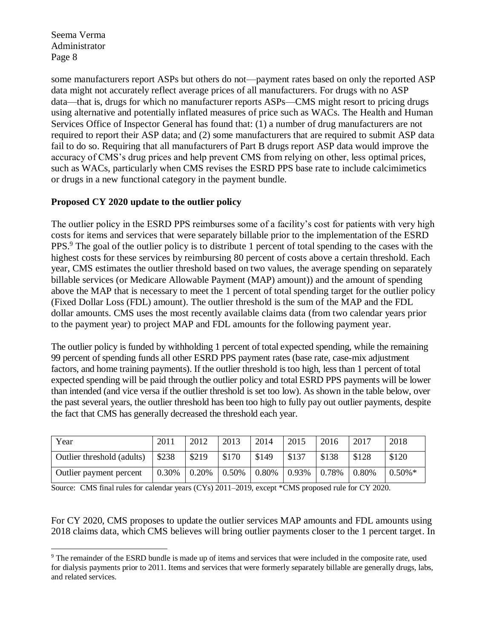$\overline{a}$ 

some manufacturers report ASPs but others do not—payment rates based on only the reported ASP data might not accurately reflect average prices of all manufacturers. For drugs with no ASP data—that is, drugs for which no manufacturer reports ASPs—CMS might resort to pricing drugs using alternative and potentially inflated measures of price such as WACs. The Health and Human Services Office of Inspector General has found that: (1) a number of drug manufacturers are not required to report their ASP data; and (2) some manufacturers that are required to submit ASP data fail to do so. Requiring that all manufacturers of Part B drugs report ASP data would improve the accuracy of CMS's drug prices and help prevent CMS from relying on other, less optimal prices, such as WACs, particularly when CMS revises the ESRD PPS base rate to include calcimimetics or drugs in a new functional category in the payment bundle.

## **Proposed CY 2020 update to the outlier policy**

The outlier policy in the ESRD PPS reimburses some of a facility's cost for patients with very high costs for items and services that were separately billable prior to the implementation of the ESRD PPS.<sup>9</sup> The goal of the outlier policy is to distribute 1 percent of total spending to the cases with the highest costs for these services by reimbursing 80 percent of costs above a certain threshold. Each year, CMS estimates the outlier threshold based on two values, the average spending on separately billable services (or Medicare Allowable Payment (MAP) amount)) and the amount of spending above the MAP that is necessary to meet the 1 percent of total spending target for the outlier policy (Fixed Dollar Loss (FDL) amount). The outlier threshold is the sum of the MAP and the FDL dollar amounts. CMS uses the most recently available claims data (from two calendar years prior to the payment year) to project MAP and FDL amounts for the following payment year.

The outlier policy is funded by withholding 1 percent of total expected spending, while the remaining 99 percent of spending funds all other ESRD PPS payment rates (base rate, case-mix adjustment factors, and home training payments). If the outlier threshold is too high, less than 1 percent of total expected spending will be paid through the outlier policy and total ESRD PPS payments will be lower than intended (and vice versa if the outlier threshold is set too low). As shown in the table below, over the past several years, the outlier threshold has been too high to fully pay out outlier payments, despite the fact that CMS has generally decreased the threshold each year.

| Year                       | 2011  | 2012  | 2013  | 2014  | 2015  | 2016  | 2017  | 2018      |
|----------------------------|-------|-------|-------|-------|-------|-------|-------|-----------|
| Outlier threshold (adults) | \$238 | \$219 | \$170 | \$149 | \$137 | \$138 | \$128 | \$120     |
| Outlier payment percent    | 0.30% | 0.20% | 0.50% | 0.80% | 0.93% | 0.78% | 0.80% | $0.50\%*$ |

Source: CMS final rules for calendar years (CYs) 2011–2019, except \*CMS proposed rule for CY 2020.

For CY 2020, CMS proposes to update the outlier services MAP amounts and FDL amounts using 2018 claims data, which CMS believes will bring outlier payments closer to the 1 percent target. In

<sup>9</sup> The remainder of the ESRD bundle is made up of items and services that were included in the composite rate, used for dialysis payments prior to 2011. Items and services that were formerly separately billable are generally drugs, labs, and related services.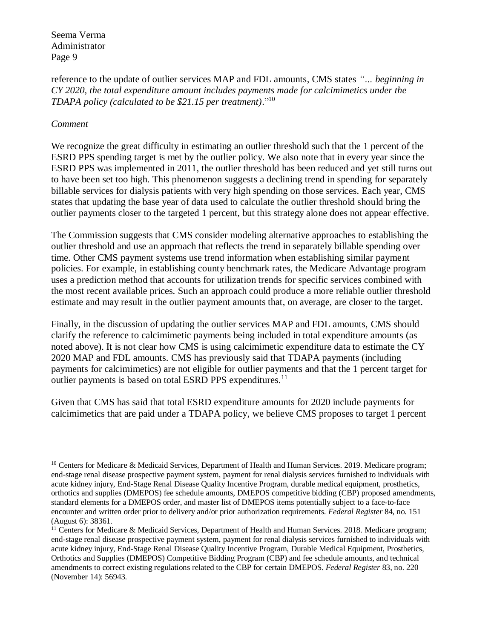reference to the update of outlier services MAP and FDL amounts, CMS states *"… beginning in CY 2020, the total expenditure amount includes payments made for calcimimetics under the TDAPA policy (calculated to be \$21.15 per treatment)*." 10

#### *Comment*

We recognize the great difficulty in estimating an outlier threshold such that the 1 percent of the ESRD PPS spending target is met by the outlier policy. We also note that in every year since the ESRD PPS was implemented in 2011, the outlier threshold has been reduced and yet still turns out to have been set too high. This phenomenon suggests a declining trend in spending for separately billable services for dialysis patients with very high spending on those services. Each year, CMS states that updating the base year of data used to calculate the outlier threshold should bring the outlier payments closer to the targeted 1 percent, but this strategy alone does not appear effective.

The Commission suggests that CMS consider modeling alternative approaches to establishing the outlier threshold and use an approach that reflects the trend in separately billable spending over time. Other CMS payment systems use trend information when establishing similar payment policies. For example, in establishing county benchmark rates, the Medicare Advantage program uses a prediction method that accounts for utilization trends for specific services combined with the most recent available prices. Such an approach could produce a more reliable outlier threshold estimate and may result in the outlier payment amounts that, on average, are closer to the target.

Finally, in the discussion of updating the outlier services MAP and FDL amounts, CMS should clarify the reference to calcimimetic payments being included in total expenditure amounts (as noted above). It is not clear how CMS is using calcimimetic expenditure data to estimate the CY 2020 MAP and FDL amounts. CMS has previously said that TDAPA payments (including payments for calcimimetics) are not eligible for outlier payments and that the 1 percent target for outlier payments is based on total ESRD PPS expenditures.<sup>11</sup>

Given that CMS has said that total ESRD expenditure amounts for 2020 include payments for calcimimetics that are paid under a TDAPA policy, we believe CMS proposes to target 1 percent

 $\overline{a}$ <sup>10</sup> Centers for Medicare & Medicaid Services, Department of Health and Human Services. 2019. Medicare program; end-stage renal disease prospective payment system, payment for renal dialysis services furnished to individuals with acute kidney injury, End-Stage Renal Disease Quality Incentive Program, durable medical equipment, prosthetics, orthotics and supplies (DMEPOS) fee schedule amounts, DMEPOS competitive bidding (CBP) proposed amendments, standard elements for a DMEPOS order, and master list of DMEPOS items potentially subject to a face-to-face encounter and written order prior to delivery and/or prior authorization requirements. *Federal Register* 84, no. 151 (August 6): 38361.

<sup>&</sup>lt;sup>11</sup> Centers for Medicare & Medicaid Services, Department of Health and Human Services. 2018. Medicare program; end-stage renal disease prospective payment system, payment for renal dialysis services furnished to individuals with acute kidney injury, End-Stage Renal Disease Quality Incentive Program, Durable Medical Equipment, Prosthetics, Orthotics and Supplies (DMEPOS) Competitive Bidding Program (CBP) and fee schedule amounts, and technical amendments to correct existing regulations related to the CBP for certain DMEPOS. *Federal Register* 83, no. 220 (November 14): 56943.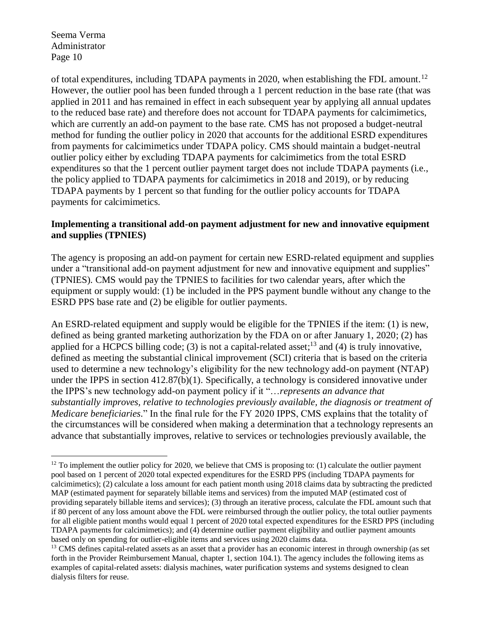$\overline{a}$ 

of total expenditures, including TDAPA payments in 2020, when establishing the FDL amount.<sup>12</sup> However, the outlier pool has been funded through a 1 percent reduction in the base rate (that was applied in 2011 and has remained in effect in each subsequent year by applying all annual updates to the reduced base rate) and therefore does not account for TDAPA payments for calcimimetics, which are currently an add-on payment to the base rate. CMS has not proposed a budget-neutral method for funding the outlier policy in 2020 that accounts for the additional ESRD expenditures from payments for calcimimetics under TDAPA policy. CMS should maintain a budget-neutral outlier policy either by excluding TDAPA payments for calcimimetics from the total ESRD expenditures so that the 1 percent outlier payment target does not include TDAPA payments (i.e., the policy applied to TDAPA payments for calcimimetics in 2018 and 2019), or by reducing TDAPA payments by 1 percent so that funding for the outlier policy accounts for TDAPA payments for calcimimetics.

### **Implementing a transitional add-on payment adjustment for new and innovative equipment and supplies (TPNIES)**

The agency is proposing an add-on payment for certain new ESRD-related equipment and supplies under a "transitional add-on payment adjustment for new and innovative equipment and supplies" (TPNIES). CMS would pay the TPNIES to facilities for two calendar years, after which the equipment or supply would: (1) be included in the PPS payment bundle without any change to the ESRD PPS base rate and (2) be eligible for outlier payments.

An ESRD-related equipment and supply would be eligible for the TPNIES if the item: (1) is new, defined as being granted marketing authorization by the FDA on or after January 1, 2020; (2) has applied for a HCPCS billing code; (3) is not a capital-related asset;<sup>13</sup> and (4) is truly innovative, defined as meeting the substantial clinical improvement (SCI) criteria that is based on the criteria used to determine a new technology's eligibility for the new technology add-on payment (NTAP) under the IPPS in section 412.87(b)(1). Specifically, a technology is considered innovative under the IPPS's new technology add-on payment policy if it "…*represents an advance that substantially improves, relative to technologies previously available, the diagnosis or treatment of Medicare beneficiaries*." In the final rule for the FY 2020 IPPS, CMS explains that the totality of the circumstances will be considered when making a determination that a technology represents an advance that substantially improves, relative to services or technologies previously available, the

 $12$  To implement the outlier policy for 2020, we believe that CMS is proposing to: (1) calculate the outlier payment pool based on 1 percent of 2020 total expected expenditures for the ESRD PPS (including TDAPA payments for calcimimetics); (2) calculate a loss amount for each patient month using 2018 claims data by subtracting the predicted MAP (estimated payment for separately billable items and services) from the imputed MAP (estimated cost of providing separately billable items and services); (3) through an iterative process, calculate the FDL amount such that if 80 percent of any loss amount above the FDL were reimbursed through the outlier policy, the total outlier payments for all eligible patient months would equal 1 percent of 2020 total expected expenditures for the ESRD PPS (including TDAPA payments for calcimimetics); and (4) determine outlier payment eligibility and outlier payment amounts based only on spending for outlier-eligible items and services using 2020 claims data.

<sup>&</sup>lt;sup>13</sup> CMS defines capital-related assets as an asset that a provider has an economic interest in through ownership (as set forth in the Provider Reimbursement Manual, chapter 1, section 104.1). The agency includes the following items as examples of capital-related assets: dialysis machines, water purification systems and systems designed to clean dialysis filters for reuse.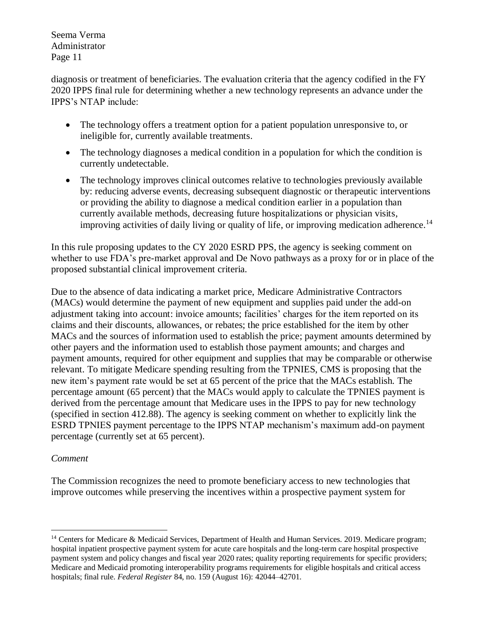diagnosis or treatment of beneficiaries. The evaluation criteria that the agency codified in the FY 2020 IPPS final rule for determining whether a new technology represents an advance under the IPPS's NTAP include:

- The technology offers a treatment option for a patient population unresponsive to, or ineligible for, currently available treatments.
- The technology diagnoses a medical condition in a population for which the condition is currently undetectable.
- The technology improves clinical outcomes relative to technologies previously available by: reducing adverse events, decreasing subsequent diagnostic or therapeutic interventions or providing the ability to diagnose a medical condition earlier in a population than currently available methods, decreasing future hospitalizations or physician visits, improving activities of daily living or quality of life, or improving medication adherence.<sup>14</sup>

In this rule proposing updates to the CY 2020 ESRD PPS, the agency is seeking comment on whether to use FDA's pre-market approval and De Novo pathways as a proxy for or in place of the proposed substantial clinical improvement criteria.

Due to the absence of data indicating a market price, Medicare Administrative Contractors (MACs) would determine the payment of new equipment and supplies paid under the add-on adjustment taking into account: invoice amounts; facilities' charges for the item reported on its claims and their discounts, allowances, or rebates; the price established for the item by other MACs and the sources of information used to establish the price; payment amounts determined by other payers and the information used to establish those payment amounts; and charges and payment amounts, required for other equipment and supplies that may be comparable or otherwise relevant. To mitigate Medicare spending resulting from the TPNIES, CMS is proposing that the new item's payment rate would be set at 65 percent of the price that the MACs establish. The percentage amount (65 percent) that the MACs would apply to calculate the TPNIES payment is derived from the percentage amount that Medicare uses in the IPPS to pay for new technology (specified in section 412.88). The agency is seeking comment on whether to explicitly link the ESRD TPNIES payment percentage to the IPPS NTAP mechanism's maximum add-on payment percentage (currently set at 65 percent).

## *Comment*

The Commission recognizes the need to promote beneficiary access to new technologies that improve outcomes while preserving the incentives within a prospective payment system for

 $\overline{a}$ <sup>14</sup> Centers for Medicare & Medicaid Services, Department of Health and Human Services. 2019. Medicare program; hospital inpatient prospective payment system for acute care hospitals and the long-term care hospital prospective payment system and policy changes and fiscal year 2020 rates; quality reporting requirements for specific providers; Medicare and Medicaid promoting interoperability programs requirements for eligible hospitals and critical access hospitals; final rule. *Federal Register* 84, no. 159 (August 16): 42044–42701.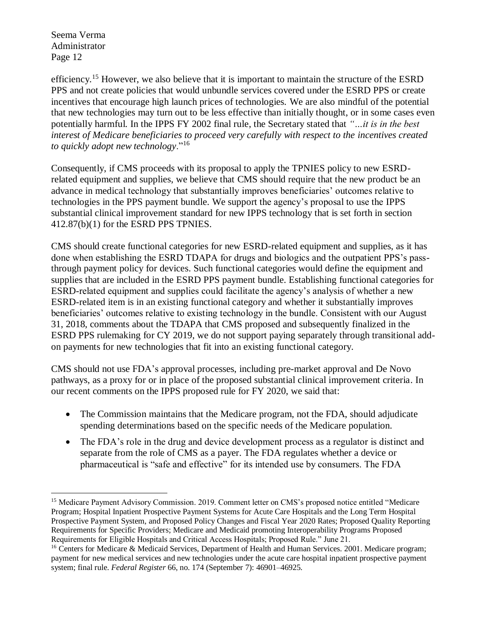$\overline{a}$ 

efficiency.<sup>15</sup> However, we also believe that it is important to maintain the structure of the ESRD PPS and not create policies that would unbundle services covered under the ESRD PPS or create incentives that encourage high launch prices of technologies. We are also mindful of the potential that new technologies may turn out to be less effective than initially thought, or in some cases even potentially harmful. In the IPPS FY 2002 final rule, the Secretary stated that *"…it is in the best interest of Medicare beneficiaries to proceed very carefully with respect to the incentives created to quickly adopt new technology*."<sup>16</sup>

Consequently, if CMS proceeds with its proposal to apply the TPNIES policy to new ESRDrelated equipment and supplies, we believe that CMS should require that the new product be an advance in medical technology that substantially improves beneficiaries' outcomes relative to technologies in the PPS payment bundle. We support the agency's proposal to use the IPPS substantial clinical improvement standard for new IPPS technology that is set forth in section 412.87(b)(1) for the ESRD PPS TPNIES.

CMS should create functional categories for new ESRD-related equipment and supplies, as it has done when establishing the ESRD TDAPA for drugs and biologics and the outpatient PPS's passthrough payment policy for devices. Such functional categories would define the equipment and supplies that are included in the ESRD PPS payment bundle. Establishing functional categories for ESRD-related equipment and supplies could facilitate the agency's analysis of whether a new ESRD-related item is in an existing functional category and whether it substantially improves beneficiaries' outcomes relative to existing technology in the bundle. Consistent with our August 31, 2018, comments about the TDAPA that CMS proposed and subsequently finalized in the ESRD PPS rulemaking for CY 2019, we do not support paying separately through transitional addon payments for new technologies that fit into an existing functional category.

CMS should not use FDA's approval processes, including pre-market approval and De Novo pathways, as a proxy for or in place of the proposed substantial clinical improvement criteria. In our recent comments on the IPPS proposed rule for FY 2020, we said that:

- The Commission maintains that the Medicare program, not the FDA, should adjudicate spending determinations based on the specific needs of the Medicare population.
- The FDA's role in the drug and device development process as a regulator is distinct and separate from the role of CMS as a payer. The FDA regulates whether a device or pharmaceutical is "safe and effective" for its intended use by consumers. The FDA

<sup>15</sup> Medicare Payment Advisory Commission. 2019. Comment letter on CMS's proposed notice entitled "Medicare Program; Hospital Inpatient Prospective Payment Systems for Acute Care Hospitals and the Long Term Hospital Prospective Payment System, and Proposed Policy Changes and Fiscal Year 2020 Rates; Proposed Quality Reporting Requirements for Specific Providers; Medicare and Medicaid promoting Interoperability Programs Proposed Requirements for Eligible Hospitals and Critical Access Hospitals; Proposed Rule." June 21.

<sup>&</sup>lt;sup>16</sup> Centers for Medicare & Medicaid Services, Department of Health and Human Services. 2001. Medicare program; payment for new medical services and new technologies under the acute care hospital inpatient prospective payment system; final rule. *Federal Register* 66, no. 174 (September 7): 46901–46925.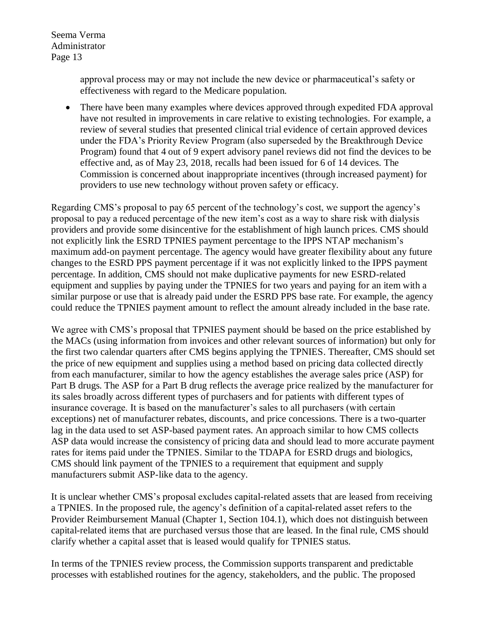> approval process may or may not include the new device or pharmaceutical's safety or effectiveness with regard to the Medicare population.

• There have been many examples where devices approved through expedited FDA approval have not resulted in improvements in care relative to existing technologies. For example, a review of several studies that presented clinical trial evidence of certain approved devices under the FDA's Priority Review Program (also superseded by the Breakthrough Device Program) found that 4 out of 9 expert advisory panel reviews did not find the devices to be effective and, as of May 23, 2018, recalls had been issued for 6 of 14 devices. The Commission is concerned about inappropriate incentives (through increased payment) for providers to use new technology without proven safety or efficacy.

Regarding CMS's proposal to pay 65 percent of the technology's cost, we support the agency's proposal to pay a reduced percentage of the new item's cost as a way to share risk with dialysis providers and provide some disincentive for the establishment of high launch prices. CMS should not explicitly link the ESRD TPNIES payment percentage to the IPPS NTAP mechanism's maximum add-on payment percentage. The agency would have greater flexibility about any future changes to the ESRD PPS payment percentage if it was not explicitly linked to the IPPS payment percentage. In addition, CMS should not make duplicative payments for new ESRD-related equipment and supplies by paying under the TPNIES for two years and paying for an item with a similar purpose or use that is already paid under the ESRD PPS base rate. For example, the agency could reduce the TPNIES payment amount to reflect the amount already included in the base rate.

We agree with CMS's proposal that TPNIES payment should be based on the price established by the MACs (using information from invoices and other relevant sources of information) but only for the first two calendar quarters after CMS begins applying the TPNIES. Thereafter, CMS should set the price of new equipment and supplies using a method based on pricing data collected directly from each manufacturer, similar to how the agency establishes the average sales price (ASP) for Part B drugs. The ASP for a Part B drug reflects the average price realized by the manufacturer for its sales broadly across different types of purchasers and for patients with different types of insurance coverage. It is based on the manufacturer's sales to all purchasers (with certain exceptions) net of manufacturer rebates, discounts, and price concessions. There is a two-quarter lag in the data used to set ASP-based payment rates. An approach similar to how CMS collects ASP data would increase the consistency of pricing data and should lead to more accurate payment rates for items paid under the TPNIES. Similar to the TDAPA for ESRD drugs and biologics, CMS should link payment of the TPNIES to a requirement that equipment and supply manufacturers submit ASP-like data to the agency.

It is unclear whether CMS's proposal excludes capital-related assets that are leased from receiving a TPNIES. In the proposed rule, the agency's definition of a capital-related asset refers to the Provider Reimbursement Manual (Chapter 1, Section 104.1), which does not distinguish between capital-related items that are purchased versus those that are leased. In the final rule, CMS should clarify whether a capital asset that is leased would qualify for TPNIES status.

In terms of the TPNIES review process, the Commission supports transparent and predictable processes with established routines for the agency, stakeholders, and the public. The proposed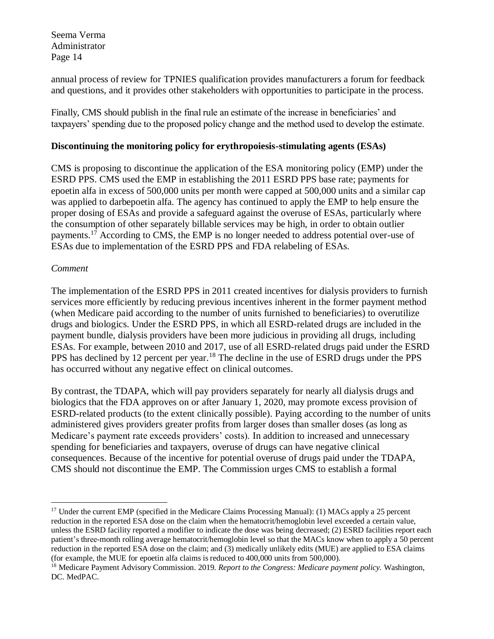annual process of review for TPNIES qualification provides manufacturers a forum for feedback and questions, and it provides other stakeholders with opportunities to participate in the process.

Finally, CMS should publish in the final rule an estimate of the increase in beneficiaries' and taxpayers' spending due to the proposed policy change and the method used to develop the estimate.

## **Discontinuing the monitoring policy for erythropoiesis-stimulating agents (ESAs)**

CMS is proposing to discontinue the application of the ESA monitoring policy (EMP) under the ESRD PPS. CMS used the EMP in establishing the 2011 ESRD PPS base rate; payments for epoetin alfa in excess of 500,000 units per month were capped at 500,000 units and a similar cap was applied to darbepoetin alfa. The agency has continued to apply the EMP to help ensure the proper dosing of ESAs and provide a safeguard against the overuse of ESAs, particularly where the consumption of other separately billable services may be high, in order to obtain outlier payments.<sup>17</sup> According to CMS, the EMP is no longer needed to address potential over-use of ESAs due to implementation of the ESRD PPS and FDA relabeling of ESAs.

#### *Comment*

 $\overline{a}$ 

The implementation of the ESRD PPS in 2011 created incentives for dialysis providers to furnish services more efficiently by reducing previous incentives inherent in the former payment method (when Medicare paid according to the number of units furnished to beneficiaries) to overutilize drugs and biologics. Under the ESRD PPS, in which all ESRD-related drugs are included in the payment bundle, dialysis providers have been more judicious in providing all drugs, including ESAs. For example, between 2010 and 2017, use of all ESRD-related drugs paid under the ESRD PPS has declined by 12 percent per year.<sup>18</sup> The decline in the use of ESRD drugs under the PPS has occurred without any negative effect on clinical outcomes.

By contrast, the TDAPA, which will pay providers separately for nearly all dialysis drugs and biologics that the FDA approves on or after January 1, 2020, may promote excess provision of ESRD-related products (to the extent clinically possible). Paying according to the number of units administered gives providers greater profits from larger doses than smaller doses (as long as Medicare's payment rate exceeds providers' costs). In addition to increased and unnecessary spending for beneficiaries and taxpayers, overuse of drugs can have negative clinical consequences. Because of the incentive for potential overuse of drugs paid under the TDAPA, CMS should not discontinue the EMP. The Commission urges CMS to establish a formal

<sup>&</sup>lt;sup>17</sup> Under the current EMP (specified in the Medicare Claims Processing Manual): (1) MACs apply a 25 percent reduction in the reported ESA dose on the claim when the hematocrit/hemoglobin level exceeded a certain value, unless the ESRD facility reported a modifier to indicate the dose was being decreased; (2) ESRD facilities report each patient's three-month rolling average hematocrit/hemoglobin level so that the MACs know when to apply a 50 percent reduction in the reported ESA dose on the claim; and (3) medically unlikely edits (MUE) are applied to ESA claims (for example, the MUE for epoetin alfa claims is reduced to 400,000 units from 500,000).

<sup>18</sup> Medicare Payment Advisory Commission. 2019. *Report to the Congress: Medicare payment policy.* Washington, DC. MedPAC.